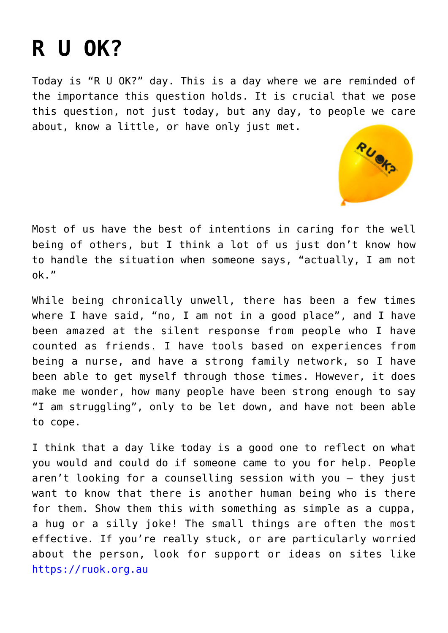## **[R U OK?](https://www.glimpsinggembles.com/2015/09/10/r-u-ok/)**

Today is "R U OK?" day. This is a day where we are reminded of the importance this question holds. It is crucial that we pose this question, not just today, but any day, to people we care about, know a little, or have only just met.



Most of us have the best of intentions in caring for the well being of others, but I think a lot of us just don't know how to handle the situation when someone says, "actually, I am not ok."

While being chronically unwell, there has been a few times where I have said, "no, I am not in a good place", and I have been amazed at the silent response from people who I have counted as friends. I have tools based on experiences from being a nurse, and have a strong family network, so I have been able to get myself through those times. However, it does make me wonder, how many people have been strong enough to say "I am struggling", only to be let down, and have not been able to cope.

I think that a day like today is a good one to reflect on what you would and could do if someone came to you for help. People aren't looking for a counselling session with you – they just want to know that there is another human being who is there for them. Show them this with something as simple as a cuppa, a hug or a silly joke! The small things are often the most effective. If you're really stuck, or are particularly worried about the person, look for support or ideas on sites like [https://ruok.org.au](https://ruok.org.au/)